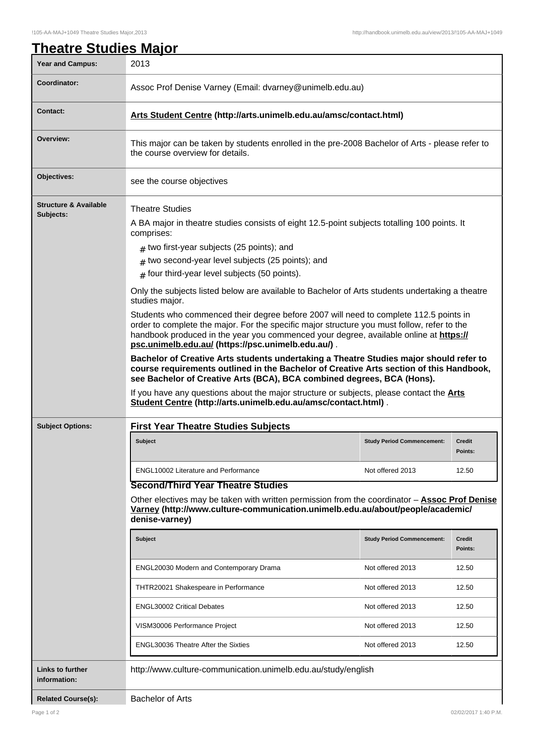| <b>Year and Campus:</b>                       | 2013                                                                                                                                                                                                                                                                                                                                |                                   |                          |  |
|-----------------------------------------------|-------------------------------------------------------------------------------------------------------------------------------------------------------------------------------------------------------------------------------------------------------------------------------------------------------------------------------------|-----------------------------------|--------------------------|--|
| <b>Coordinator:</b>                           | Assoc Prof Denise Varney (Email: dvarney@unimelb.edu.au)                                                                                                                                                                                                                                                                            |                                   |                          |  |
| <b>Contact:</b>                               | Arts Student Centre (http://arts.unimelb.edu.au/amsc/contact.html)                                                                                                                                                                                                                                                                  |                                   |                          |  |
| Overview:                                     | This major can be taken by students enrolled in the pre-2008 Bachelor of Arts - please refer to<br>the course overview for details.                                                                                                                                                                                                 |                                   |                          |  |
| Objectives:                                   | see the course objectives                                                                                                                                                                                                                                                                                                           |                                   |                          |  |
| <b>Structure &amp; Available</b><br>Subjects: | <b>Theatre Studies</b>                                                                                                                                                                                                                                                                                                              |                                   |                          |  |
|                                               | A BA major in theatre studies consists of eight 12.5-point subjects totalling 100 points. It<br>comprises:                                                                                                                                                                                                                          |                                   |                          |  |
|                                               | $#$ two first-year subjects (25 points); and                                                                                                                                                                                                                                                                                        |                                   |                          |  |
|                                               | $#$ two second-year level subjects (25 points); and                                                                                                                                                                                                                                                                                 |                                   |                          |  |
|                                               | $#$ four third-year level subjects (50 points).                                                                                                                                                                                                                                                                                     |                                   |                          |  |
|                                               | Only the subjects listed below are available to Bachelor of Arts students undertaking a theatre<br>studies major.                                                                                                                                                                                                                   |                                   |                          |  |
|                                               | Students who commenced their degree before 2007 will need to complete 112.5 points in<br>order to complete the major. For the specific major structure you must follow, refer to the<br>handbook produced in the year you commenced your degree, available online at https://<br>psc.unimelb.edu.au/ (https://psc.unimelb.edu.au/). |                                   |                          |  |
|                                               | Bachelor of Creative Arts students undertaking a Theatre Studies major should refer to<br>course requirements outlined in the Bachelor of Creative Arts section of this Handbook,<br>see Bachelor of Creative Arts (BCA), BCA combined degrees, BCA (Hons).                                                                         |                                   |                          |  |
|                                               | If you have any questions about the major structure or subjects, please contact the <b>Arts</b><br>Student Centre (http://arts.unimelb.edu.au/amsc/contact.html).                                                                                                                                                                   |                                   |                          |  |
| <b>Subject Options:</b>                       | <b>First Year Theatre Studies Subjects</b>                                                                                                                                                                                                                                                                                          |                                   |                          |  |
|                                               | <b>Subject</b>                                                                                                                                                                                                                                                                                                                      | <b>Study Period Commencement:</b> | Credit<br>Points:        |  |
|                                               | <b>ENGL10002 Literature and Performance</b>                                                                                                                                                                                                                                                                                         | Not offered 2013                  | 12.50                    |  |
|                                               | <b>Second/Third Year Theatre Studies</b><br>Other electives may be taken with written permission from the coordinator $-$ Assoc Prof Denise<br>Varney (http://www.culture-communication.unimelb.edu.au/about/people/academic/<br>denise-varney)                                                                                     |                                   |                          |  |
|                                               | Subject                                                                                                                                                                                                                                                                                                                             | <b>Study Period Commencement:</b> | <b>Credit</b><br>Points: |  |
|                                               | ENGL20030 Modern and Contemporary Drama                                                                                                                                                                                                                                                                                             | Not offered 2013                  | 12.50                    |  |
|                                               | THTR20021 Shakespeare in Performance                                                                                                                                                                                                                                                                                                | Not offered 2013                  | 12.50                    |  |
|                                               | <b>ENGL30002 Critical Debates</b>                                                                                                                                                                                                                                                                                                   | Not offered 2013                  | 12.50                    |  |
|                                               | VISM30006 Performance Project                                                                                                                                                                                                                                                                                                       | Not offered 2013                  | 12.50                    |  |
|                                               | <b>ENGL30036 Theatre After the Sixties</b>                                                                                                                                                                                                                                                                                          | Not offered 2013                  | 12.50                    |  |
| <b>Links to further</b><br>information:       | http://www.culture-communication.unimelb.edu.au/study/english                                                                                                                                                                                                                                                                       |                                   |                          |  |
| <b>Related Course(s):</b>                     | <b>Bachelor of Arts</b>                                                                                                                                                                                                                                                                                                             |                                   |                          |  |